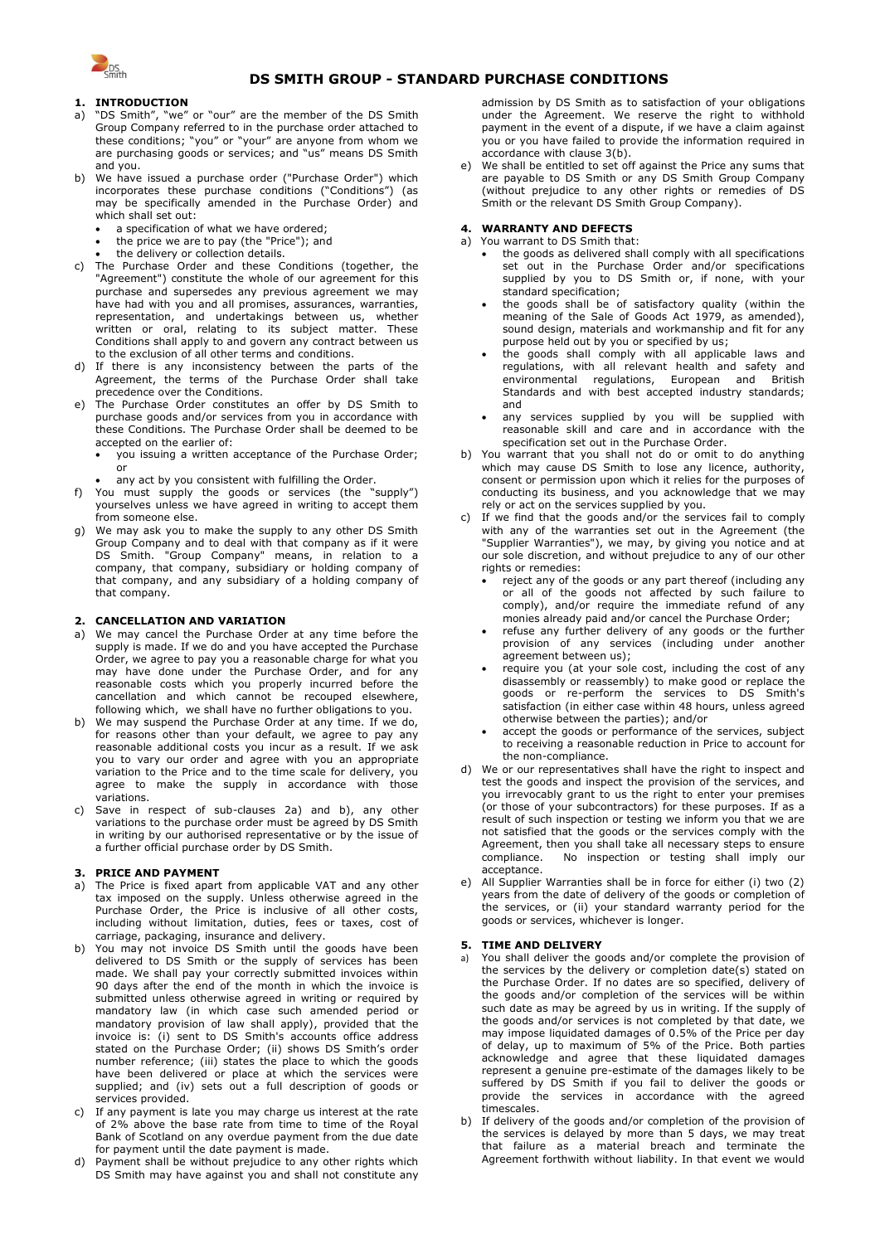

# **DS SMITH GROUP - STANDARD PURCHASE CONDITIONS**

# **1. INTRODUCTION**

- a) "DS Smith", "we" or "our" are the member of the DS Smith Group Company referred to in the purchase order attached to these conditions; "you" or "your" are anyone from whom we are purchasing goods or services; and "us" means DS Smith and you.
- We have issued a purchase order ("Purchase Order") which incorporates these purchase conditions ("Conditions") (as may be specifically amended in the Purchase Order) and which shall set out:
	- a specification of what we have ordered;
	- the price we are to pay (the "Price"); and
- the delivery or collection details.
- c) The Purchase Order and these Conditions (together, the "Agreement") constitute the whole of our agreement for this purchase and supersedes any previous agreement we may have had with you and all promises, assurances, warranties, representation, and undertakings between us, whether written or oral, relating to its subject matter. These Conditions shall apply to and govern any contract between us to the exclusion of all other terms and conditions.
- d) If there is any inconsistency between the parts of the Agreement, the terms of the Purchase Order shall take precedence over the Conditions.
- The Purchase Order constitutes an offer by DS Smith to purchase goods and/or services from you in accordance with these Conditions. The Purchase Order shall be deemed to be accepted on the earlier of:
	- you issuing a written acceptance of the Purchase Order; or
	- any act by you consistent with fulfilling the Order.
- f) You must supply the goods or services (the "supply") yourselves unless we have agreed in writing to accept them from someone else.
- g) We may ask you to make the supply to any other DS Smith Group Company and to deal with that company as if it were DS Smith. "Group Company" means, in relation to a company, that company, subsidiary or holding company of that company, and any subsidiary of a holding company of that company.

## **2. CANCELLATION AND VARIATION**

- <span id="page-0-0"></span>a) We may cancel the Purchase Order at any time before the supply is made. If we do and you have accepted the Purchase Order, we agree to pay you a reasonable charge for what you may have done under the Purchase Order, and for any reasonable costs which you properly incurred before the cancellation and which cannot be recouped elsewhere, following which, we shall have no further obligations to you.
- <span id="page-0-1"></span>b) We may suspend the Purchase Order at any time. If we do, for reasons other than your default, we agree to pay any reasonable additional costs you incur as a result. If we ask you to vary our order and agree with you an appropriate variation to the Price and to the time scale for delivery, you agree to make the supply in accordance with those variations.
- c) Save in respect of sub-clauses [2a\)](#page-0-0) and [b\),](#page-0-1) any other variations to the purchase order must be agreed by DS Smith in writing by our authorised representative or by the issue of a further official purchase order by DS Smith.

#### **3. PRICE AND PAYMENT**

- a) The Price is fixed apart from applicable VAT and any other tax imposed on the supply. Unless otherwise agreed in the Purchase Order, the Price is inclusive of all other costs, including without limitation, duties, fees or taxes, cost of carriage, packaging, insurance and delivery.
- b) You may not invoice DS Smith until the goods have been delivered to DS Smith or the supply of services has been made. We shall pay your correctly submitted invoices within 90 days after the end of the month in which the invoice is submitted unless otherwise agreed in writing or required by mandatory law (in which case such amended period or mandatory provision of law shall apply), provided that the invoice is: (i) sent to DS Smith's accounts office address stated on the Purchase Order; (ii) shows DS Smith's order number reference; (iii) states the place to which the goods have been delivered or place at which the services were supplied; and (iv) sets out a full description of goods or services provided.
- c) If any payment is late you may charge us interest at the rate of 2% above the base rate from time to time of the Royal Bank of Scotland on any overdue payment from the due date for payment until the date payment is made.
- d) Payment shall be without prejudice to any other rights which DS Smith may have against you and shall not constitute any

admission by DS Smith as to satisfaction of your obligations under the Agreement. We reserve the right to withhold payment in the event of a dispute, if we have a claim against you or you have failed to provide the information required in accordance with clause 3(b).

We shall be entitled to set off against the Price any sums that are payable to DS Smith or any DS Smith Group Company (without prejudice to any other rights or remedies of DS Smith or the relevant DS Smith Group Company).

#### **4. WARRANTY AND DEFECTS** a) You warrant to DS Smith that:

- the goods as delivered shall comply with all specifications set out in the Purchase Order and/or specifications supplied by you to DS Smith or, if none, with your standard specification;
- the goods shall be of satisfactory quality (within the meaning of the Sale of Goods Act 1979, as amended), sound design, materials and workmanship and fit for any purpose held out by you or specified by us;
- the goods shall comply with all applicable laws and regulations, with all relevant health and safety and environmental regulations, European and British Standards and with best accepted industry standards; and
- any services supplied by you will be supplied with reasonable skill and care and in accordance with the specification set out in the Purchase Order.
- b) You warrant that you shall not do or omit to do anything which may cause DS Smith to lose any licence, authority, consent or permission upon which it relies for the purposes of conducting its business, and you acknowledge that we may rely or act on the services supplied by you.
- c) If we find that the goods and/or the services fail to comply with any of the warranties set out in the Agreement (the "Supplier Warranties"), we may, by giving you notice and at our sole discretion, and without prejudice to any of our other rights or remedies:
	- reject any of the goods or any part thereof (including any or all of the goods not affected by such failure to comply), and/or require the immediate refund of any monies already paid and/or cancel the Purchase Order;
	- refuse any further delivery of any goods or the further provision of any services (including under another agreement between us);
	- require you (at your sole cost, including the cost of any disassembly or reassembly) to make good or replace the goods or re-perform the services to DS Smith's satisfaction (in either case within 48 hours, unless agreed otherwise between the parties); and/or
	- accept the goods or performance of the services, subject to receiving a reasonable reduction in Price to account for the non-compliance.
- d) We or our representatives shall have the right to inspect and test the goods and inspect the provision of the services, and you irrevocably grant to us the right to enter your premises (or those of your subcontractors) for these purposes. If as a result of such inspection or testing we inform you that we are not satisfied that the goods or the services comply with the Agreement, then you shall take all necessary steps to ensure compliance. No inspection or testing shall imply our acceptance.
- All Supplier Warranties shall be in force for either (i) two (2) years from the date of delivery of the goods or completion of the services, or (ii) your standard warranty period for the goods or services, whichever is longer.

## **5. TIME AND DELIVERY**

- a) You shall deliver the goods and/or complete the provision of the services by the delivery or completion date(s) stated on the Purchase Order. If no dates are so specified, delivery of the goods and/or completion of the services will be within such date as may be agreed by us in writing. If the supply of the goods and/or services is not completed by that date, we may impose liquidated damages of 0.5% of the Price per day of delay, up to maximum of 5% of the Price. Both parties acknowledge and agree that these liquidated damages represent a genuine pre-estimate of the damages likely to be suffered by DS Smith if you fail to deliver the goods or provide the services in accordance with the agreed timescales.
- b) If delivery of the goods and/or completion of the provision of the services is delayed by more than 5 days, we may treat that failure as a material breach and terminate the Agreement forthwith without liability. In that event we would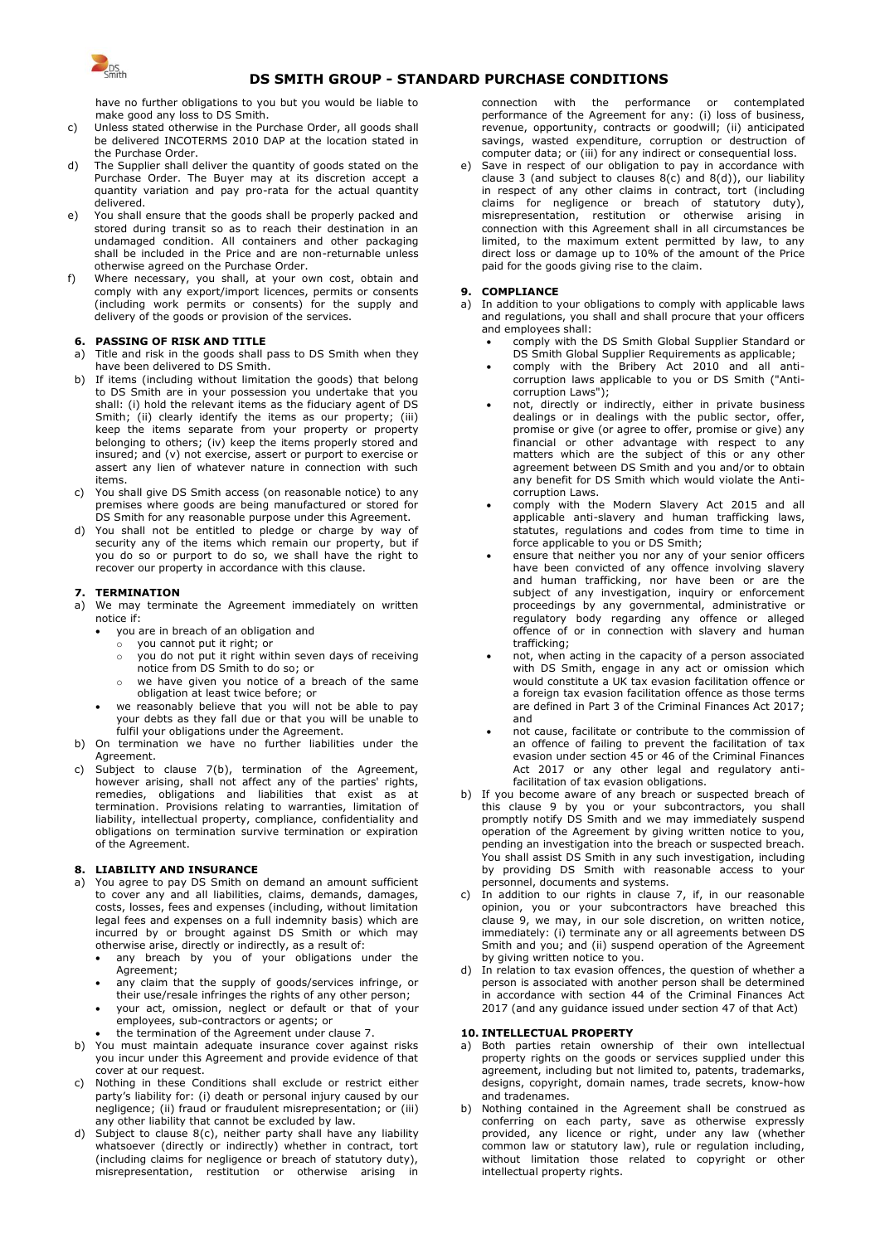

# **DS SMITH GROUP - STANDARD PURCHASE CONDITIONS**

have no further obligations to you but you would be liable to make good any loss to DS Smith.

- c) Unless stated otherwise in the Purchase Order, all goods shall be delivered INCOTERMS 2010 DAP at the location stated in the Purchase Order.
- d) The Supplier shall deliver the quantity of goods stated on the Purchase Order. The Buyer may at its discretion accept a quantity variation and pay pro-rata for the actual quantity delivered.
- e) You shall ensure that the goods shall be properly packed and stored during transit so as to reach their destination in an undamaged condition. All containers and other packaging shall be included in the Price and are non-returnable unless otherwise agreed on the Purchase Order.
- f) Where necessary, you shall, at your own cost, obtain and comply with any export/import licences, permits or consents (including work permits or consents) for the supply and delivery of the goods or provision of the services.

#### **6. PASSING OF RISK AND TITLE**

- a) Title and risk in the goods shall pass to DS Smith when they have been delivered to DS Smith.
- b) If items (including without limitation the goods) that belong to DS Smith are in your possession you undertake that you shall: (i) hold the relevant items as the fiduciary agent of DS Smith; (ii) clearly identify the items as our property; (iii) keep the items separate from your property or property belonging to others; (iv) keep the items properly stored and insured; and (v) not exercise, assert or purport to exercise or assert any lien of whatever nature in connection with such items.
- c) You shall give DS Smith access (on reasonable notice) to any premises where goods are being manufactured or stored for DS Smith for any reasonable purpose under this Agreement.
- d) You shall not be entitled to pledge or charge by way of security any of the items which remain our property, but if you do so or purport to do so, we shall have the right to recover our property in accordance with this clause.

#### **7. TERMINATION**

- a) We may terminate the Agreement immediately on written notice if:
	- you are in breach of an obligation and
	- $\overline{\circ}$  vou cannot put it right; or
		- o you do not put it right within seven days of receiving notice from DS Smith to do so; or
		- o we have given you notice of a breach of the same obligation at least twice before; or
	- we reasonably believe that you will not be able to pay your debts as they fall due or that you will be unable to fulfil your obligations under the Agreement.
- b) On termination we have no further liabilities under the **Agreement**
- c) Subject to clause 7(b), termination of the Agreement, however arising, shall not affect any of the parties' rights, remedies, obligations and liabilities that exist as at termination. Provisions relating to warranties, limitation of liability, intellectual property, compliance, confidentiality and obligations on termination survive termination or expiration of the Agreement.

## **8. LIABILITY AND INSURANCE**

- You agree to pay DS Smith on demand an amount sufficient to cover any and all liabilities, claims, demands, damages, costs, losses, fees and expenses (including, without limitation legal fees and expenses on a full indemnity basis) which are incurred by or brought against DS Smith or which may otherwise arise, directly or indirectly, as a result of:
	- any breach by you of your obligations under the Agreement;
	- any claim that the supply of goods/services infringe, or
	- their use/resale infringes the rights of any other person; your act, omission, neglect or default or that of your
	- employees, sub-contractors or agents; or • the termination of the Agreement under clause 7.
- b) You must maintain adequate insurance cover against risks you incur under this Agreement and provide evidence of that cover at our request.
- c) Nothing in these Conditions shall exclude or restrict either party's liability for: (i) death or personal injury caused by our negligence; (ii) fraud or fraudulent misrepresentation; or (iii) any other liability that cannot be excluded by law.
- d) Subject to clause 8(c), neither party shall have any liability whatsoever (directly or indirectly) whether in contract, tort (including claims for negligence or breach of statutory duty), misrepresentation, restitution or otherwise arising in

connection with the performance or contemplated performance of the Agreement for any: (i) loss of business, revenue, opportunity, contracts or goodwill; (ii) anticipated savings, wasted expenditure, corruption or destruction of computer data; or (iii) for any indirect or consequential loss.

Save in respect of our obligation to pay in accordance with clause 3 (and subject to clauses  $8(c)$  and  $8(d)$ ), our liability in respect of any other claims in contract, tort (including claims for negligence or breach of statutory duty), misrepresentation, restitution or otherwise arising in connection with this Agreement shall in all circumstances be limited, to the maximum extent permitted by law, to any direct loss or damage up to 10% of the amount of the Price paid for the goods giving rise to the claim.

### **9. COMPLIANCE**

- a) In addition to your obligations to comply with applicable laws and regulations, you shall and shall procure that your officers and employees shall:
	- comply with the DS Smith Global Supplier Standard or DS Smith Global Supplier Requirements as applicable;
	- comply with the Bribery Act 2010 and all anticorruption laws applicable to you or DS Smith ("Anticorruption Laws");
	- not, directly or indirectly, either in private business dealings or in dealings with the public sector, offer, promise or give (or agree to offer, promise or give) any financial or other advantage with respect to any matters which are the subject of this or any other agreement between DS Smith and you and/or to obtain any benefit for DS Smith which would violate the Anticorruption Laws.
	- comply with the Modern Slavery Act 2015 and all applicable anti-slavery and human trafficking laws, statutes, regulations and codes from time to time in force applicable to you or DS Smith;
	- ensure that neither you nor any of your senior officers have been convicted of any offence involving slavery and human trafficking, nor have been or are the subject of any investigation, inquiry or enforcement proceedings by any governmental, administrative or regulatory body regarding any offence or alleged offence of or in connection with slavery and human trafficking;
	- not, when acting in the capacity of a person associated with DS Smith, engage in any act or omission which would constitute a UK tax evasion facilitation offence or a foreign tax evasion facilitation offence as those terms are defined in Part 3 of the Criminal Finances Act 2017; and
	- not cause, facilitate or contribute to the commission of an offence of failing to prevent the facilitation of tax evasion under section 45 or 46 of the Criminal Finances Act 2017 or any other legal and regulatory antifacilitation of tax evasion obligations.
- b) If you become aware of any breach or suspected breach of this clause 9 by you or your subcontractors, you shall promptly notify DS Smith and we may immediately suspend operation of the Agreement by giving written notice to you, pending an investigation into the breach or suspected breach. You shall assist DS Smith in any such investigation, including by providing DS Smith with reasonable access to your personnel, documents and systems.
- c) In addition to our rights in clause 7, if, in our reasonable opinion, you or your subcontractors have breached this clause 9, we may, in our sole discretion, on written notice, immediately: (i) terminate any or all agreements between DS Smith and you; and (ii) suspend operation of the Agreement by giving written notice to you.
- d) In relation to tax evasion offences, the question of whether a person is associated with another person shall be determined in accordance with section 44 of the Criminal Finances Act 2017 (and any guidance issued under section 47 of that Act)

## **10. INTELLECTUAL PROPERTY**

- a) Both parties retain ownership of their own intellectual property rights on the goods or services supplied under this agreement, including but not limited to, patents, trademarks, designs, copyright, domain names, trade secrets, know-how and tradenames.
- Nothing contained in the Agreement shall be construed as conferring on each party, save as otherwise expressly provided, any licence or right, under any law (whether common law or statutory law), rule or regulation including, without limitation those related to copyright or other intellectual property rights.